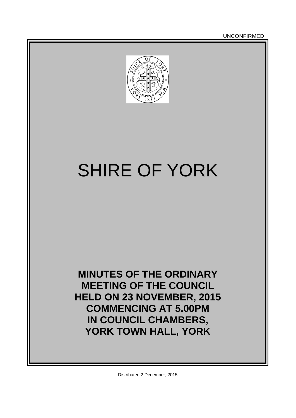**UNCONFIRMED** 



# SHIRE OF YORK

**MINUTES OF THE ORDINARY MEETING OF THE COUNCIL HELD ON 23 NOVEMBER, 2015 COMMENCING AT 5.00PM IN COUNCIL CHAMBERS, YORK TOWN HALL, YORK**

Distributed 2 December, 2015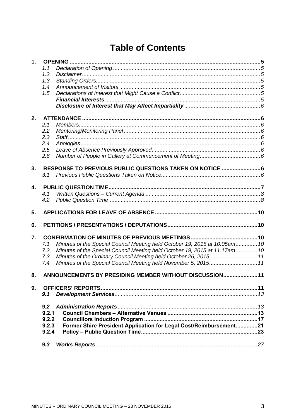# **Table of Contents**

| $\mathbf 1$ . |                                                                                   |  |
|---------------|-----------------------------------------------------------------------------------|--|
|               | 1.1                                                                               |  |
|               | 1.2                                                                               |  |
|               | 1.3                                                                               |  |
|               | 1.4                                                                               |  |
|               | 1.5                                                                               |  |
|               |                                                                                   |  |
|               |                                                                                   |  |
|               |                                                                                   |  |
| 2.            |                                                                                   |  |
|               | 2.1                                                                               |  |
|               | 2.2                                                                               |  |
|               | 2.3                                                                               |  |
|               | 2.4                                                                               |  |
|               | 2.5                                                                               |  |
|               | 2.6                                                                               |  |
|               |                                                                                   |  |
| 3.            | RESPONSE TO PREVIOUS PUBLIC QUESTIONS TAKEN ON NOTICE  6                          |  |
|               | 3.1                                                                               |  |
| $\mathbf{4}$  |                                                                                   |  |
|               | 4.1                                                                               |  |
|               | 4.2                                                                               |  |
|               |                                                                                   |  |
| 5.            |                                                                                   |  |
| 6.            |                                                                                   |  |
|               |                                                                                   |  |
| 7.            |                                                                                   |  |
|               | Minutes of the Special Council Meeting held October 19, 2015 at 10.05am 10<br>7.1 |  |
|               | 7.2<br>Minutes of the Special Council Meeting held October 19, 2015 at 11.17am 10 |  |
|               | Minutes of the Ordinary Council Meeting held October 26, 2015 11<br>7.3           |  |
|               | Minutes of the Special Council Meeting held November 5, 2015 11<br>7.4            |  |
| 8.            | ANNOUNCEMENTS BY PRESIDING MEMBER WITHOUT DISCUSSION 11                           |  |
|               |                                                                                   |  |
| 9.            |                                                                                   |  |
|               | 9.1                                                                               |  |
|               | 9.2                                                                               |  |
|               | 9.2.1                                                                             |  |
|               | 9.2.2                                                                             |  |
|               | 9.2.3                                                                             |  |
|               | Former Shire President Application for Legal Cost/Reimbursement21                 |  |
|               | 9.2.4                                                                             |  |
|               | 9.3                                                                               |  |
|               |                                                                                   |  |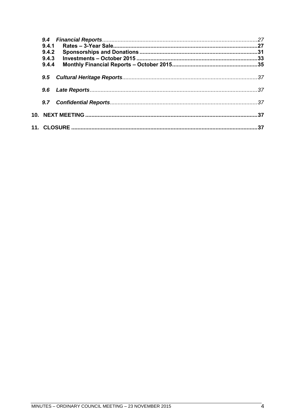| 9.4<br>9.4.1   |     |
|----------------|-----|
| 9.4.2<br>9.4.3 |     |
| 9.4.4          |     |
| 9.5            |     |
| 9.6            |     |
| 9.7            |     |
|                | .37 |
|                |     |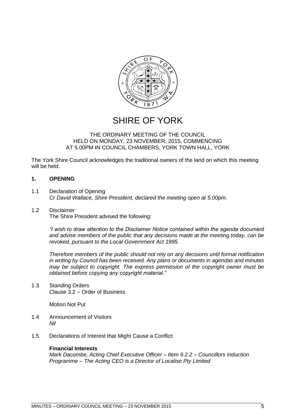

# SHIRE OF YORK

#### THE ORDINARY MEETING OF THE COUNCIL HELD ON MONDAY, 23 NOVEMBER, 2015, COMMENCING AT 5.00PM IN COUNCIL CHAMBERS, YORK TOWN HALL, YORK

The York Shire Council acknowledges the traditional owners of the land on which this meeting will be held.

# <span id="page-4-0"></span>**1. OPENING**

<span id="page-4-1"></span>1.1 Declaration of Opening *Cr David Wallace, Shire President, declared the meeting open at 5.00pm.*

#### <span id="page-4-2"></span>1.2 Disclaimer

The Shire President advised the following:

*"I wish to draw attention to the Disclaimer Notice contained within the agenda document and advise members of the public that any decisions made at the meeting today, can be revoked, pursuant to the Local Government Act 1995.* 

*Therefore members of the public should not rely on any decisions until formal notification in writing by Council has been received. Any plans or documents in agendas and minutes may be subject to copyright. The express permission of the copyright owner must be obtained before copying any copyright material."*

<span id="page-4-3"></span>1.3 Standing Orders Clause 3.2 – Order of Business

Motion Not Put

- <span id="page-4-4"></span>1.4 Announcement of Visitors *Nil*
- <span id="page-4-6"></span><span id="page-4-5"></span>1.5 Declarations of Interest that Might Cause a Conflict

#### **Financial Interests**

*Mark Dacombe, Acting Chief Executive Officer – Item 9.2.2 – Councillors Induction Programme – The Acting CEO is a Director of Localise Pty Limited*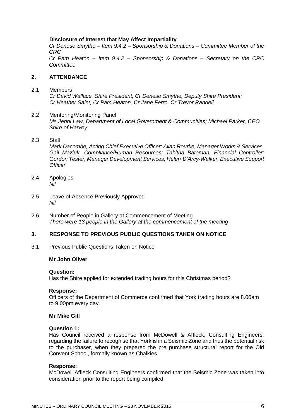# <span id="page-5-0"></span>**Disclosure of Interest that May Affect Impartiality**

*Cr Denese Smythe – Item 9.4.2 – Sponsorship & Donations – Committee Member of the CRC*

*Cr Pam Heaton – Item 9.4.2 – Sponsorship & Donations – Secretary on the CRC Committee*

# <span id="page-5-1"></span>**2. ATTENDANCE**

#### <span id="page-5-2"></span>2.1 Members

*Cr David Wallace, Shire President; Cr Denese Smythe, Deputy Shire President; Cr Heather Saint, Cr Pam Heaton, Cr Jane Ferro, Cr Trevor Randell*

#### <span id="page-5-3"></span>2.2 Mentoring/Monitoring Panel *Ms Jenni Law, Department of Local Government & Communities; Michael Parker, CEO Shire of Harvey*

#### <span id="page-5-4"></span>2.3 Staff

*Mark Dacombe, Acting Chief Executive Officer; Allan Rourke, Manager Works & Services, Gail Maziuk, Compliance/Human Resources; Tabitha Bateman, Financial Controller; Gordon Tester, Manager Development Services; Helen D'Arcy-Walker, Executive Support Officer*

- <span id="page-5-5"></span>2.4 Apologies *Nil*
- <span id="page-5-6"></span>2.5 Leave of Absence Previously Approved *Nil*
- <span id="page-5-7"></span>2.6 Number of People in Gallery at Commencement of Meeting *There were 13 people in the Gallery at the commencement of the meeting*

## <span id="page-5-8"></span>**3. RESPONSE TO PREVIOUS PUBLIC QUESTIONS TAKEN ON NOTICE**

<span id="page-5-9"></span>3.1 Previous Public Questions Taken on Notice

#### **Mr John Oliver**

#### **Question:**

Has the Shire applied for extended trading hours for this Christmas period?

#### **Response:**

Officers of the Department of Commerce confirmed that York trading hours are 8.00am to 9.00pm every day.

#### **Mr Mike Gill**

#### **Question 1:**

Has Council received a response from McDowell & Affleck, Consulting Engineers, regarding the failure to recognise that York is in a Seismic Zone and thus the potential risk to the purchaser, when they prepared the pre purchase structural report for the Old Convent School, formally known as Chalkies.

#### **Response:**

McDowell Affleck Consulting Engineers confirmed that the Seismic Zone was taken into consideration prior to the report being compiled.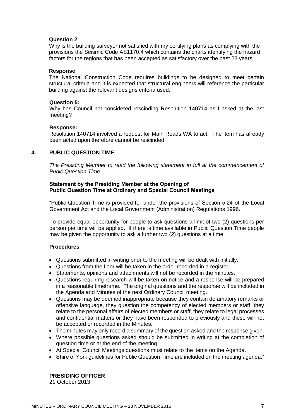# **Question 2**:

Why is the building surveyor not satisfied with my certifying plans as complying with the provisions the Seismic Code AS1170.4 which contains the charts identifying the hazard factors for the regions that has been accepted as satisfactory over the past 23 years.

#### **Response**

The National Construction Code requires buildings to be designed to meet certain structural criteria and it is expected that structural engineers will reference the particular building against the relevant designs criteria used.

### **Question 5:**

Why has Council not considered rescinding Resolution 140714 as I asked at the last meeting?

#### **Response:**

Resolution 140714 involved a request for Main Roads WA to act. The item has already been acted upon therefore cannot be rescinded.

# <span id="page-6-0"></span>**4. PUBLIC QUESTION TIME**

*The Presiding Member to read the following statement in full at the commencement of Pubic Question Time:*

#### **Statement by the Presiding Member at the Opening of Public Question Time at Ordinary and Special Council Meetings**

"Public Question Time is provided for under the provisions of Section 5.24 of the Local Government Act and the Local Government (Administration) Regulations 1996.

To provide equal opportunity for people to ask questions a limit of two (2) questions per person per time will be applied. If there is time available in Public Question Time people may be given the opportunity to ask a further two (2) questions at a time.

#### **Procedures**

- Questions submitted in writing prior to the meeting will be dealt with initially.
- Questions from the floor will be taken in the order recorded in a register.
- Statements, opinions and attachments will not be recorded in the minutes.
- Questions requiring research will be taken on notice and a response will be prepared in a reasonable timeframe. The original questions and the response will be included in the Agenda and Minutes of the next Ordinary Council meeting.
- Questions may be deemed inappropriate because they contain defamatory remarks or offensive language, they question the competency of elected members or staff, they relate to the personal affairs of elected members or staff, they relate to legal processes and confidential matters or they have been responded to previously and these will not be accepted or recorded in the Minutes.
- The minutes may only record a summary of the question asked and the response given.
- Where possible questions asked should be submitted in writing at the completion of question time or at the end of the meeting.
- At Special Council Meetings questions must relate to the items on the Agenda.
- Shire of York quidelines for Public Question Time are included on the meeting agenda."

# **PRESIDING OFFICER**

21 October 2013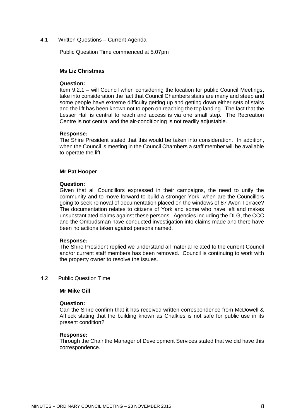## <span id="page-7-0"></span>4.1 Written Questions – Current Agenda

Public Question Time commenced at 5.07pm

#### **Ms Liz Christmas**

#### **Question:**

Item 9.2.1 – will Council when considering the location for public Council Meetings, take into consideration the fact that Council Chambers stairs are many and steep and some people have extreme difficulty getting up and getting down either sets of stairs and the lift has been known not to open on reaching the top landing. The fact that the Lesser Hall is central to reach and access is via one small step. The Recreation Centre is not central and the air-conditioning is not readily adjustable.

#### **Response:**

The Shire President stated that this would be taken into consideration. In addition, when the Council is meeting in the Council Chambers a staff member will be available to operate the lift.

# **Mr Pat Hooper**

#### **Question:**

Given that all Councillors expressed in their campaigns, the need to unify the community and to move forward to build a stronger York, when are the Councillors going to seek removal of documentation placed on the windows of 87 Avon Terrace? The documentation relates to citizens of York and some who have left and makes unsubstantiated claims against these persons. Agencies including the DLG, the CCC and the Ombudsman have conducted investigation into claims made and there have been no actions taken against persons named.

#### **Response:**

The Shire President replied we understand all material related to the current Council and/or current staff members has been removed. Council is continuing to work with the property owner to resolve the issues.

#### <span id="page-7-1"></span>4.2 Public Question Time

### **Mr Mike Gill**

#### **Question:**

Can the Shire confirm that it has received written correspondence from McDowell & Affleck stating that the building known as Chalkies is not safe for public use in its present condition?

#### **Response:**

Through the Chair the Manager of Development Services stated that we did have this correspondence.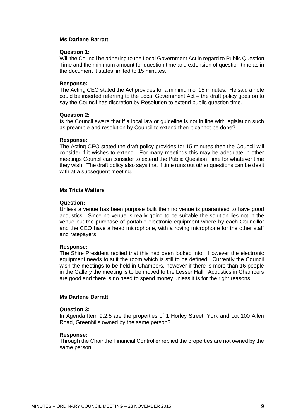# **Ms Darlene Barratt**

#### **Question 1:**

Will the Council be adhering to the Local Government Act in regard to Public Question Time and the minimum amount for question time and extension of question time as in the document it states limited to 15 minutes.

#### **Response:**

The Acting CEO stated the Act provides for a minimum of 15 minutes. He said a note could be inserted referring to the Local Government Act – the draft policy goes on to say the Council has discretion by Resolution to extend public question time.

#### **Question 2:**

Is the Council aware that if a local law or guideline is not in line with legislation such as preamble and resolution by Council to extend then it cannot be done?

#### **Response:**

The Acting CEO stated the draft policy provides for 15 minutes then the Council will consider if it wishes to extend. For many meetings this may be adequate in other meetings Council can consider to extend the Public Question Time for whatever time they wish. The draft policy also says that if time runs out other questions can be dealt with at a subsequent meeting.

#### **Ms Tricia Walters**

#### **Question:**

Unless a venue has been purpose built then no venue is guaranteed to have good acoustics. Since no venue is really going to be suitable the solution lies not in the venue but the purchase of portable electronic equipment where by each Councillor and the CEO have a head microphone, with a roving microphone for the other staff and ratepayers.

#### **Response:**

The Shire President replied that this had been looked into. However the electronic equipment needs to suit the room which is still to be defined. Currently the Council wish the meetings to be held in Chambers, however if there is more than 16 people in the Gallery the meeting is to be moved to the Lesser Hall. Acoustics in Chambers are good and there is no need to spend money unless it is for the right reasons.

#### **Ms Darlene Barratt**

#### **Question 3:**

In Agenda Item 9.2.5 are the properties of 1 Horley Street, York and Lot 100 Allen Road, Greenhills owned by the same person?

#### **Response:**

Through the Chair the Financial Controller replied the properties are not owned by the same person.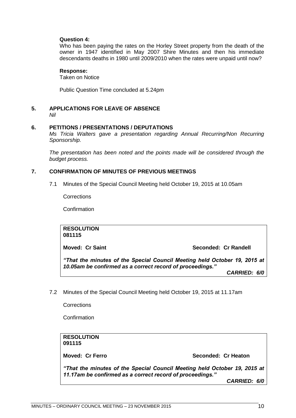#### **Question 4:**

Who has been paying the rates on the Horley Street property from the death of the owner in 1947 identified in May 2007 Shire Minutes and then his immediate descendants deaths in 1980 until 2009/2010 when the rates were unpaid until now?

#### **Response:**

Taken on Notice

Public Question Time concluded at 5.24pm

<span id="page-9-0"></span>**5. APPLICATIONS FOR LEAVE OF ABSENCE**  *Nil*

#### <span id="page-9-1"></span>**6. PETITIONS / PRESENTATIONS / DEPUTATIONS**

*Ms Tricia Walters gave a presentation regarding Annual Recurring/Non Recurring Sponsorship.*

*The presentation has been noted and the points made will be considered through the budget process.*

# <span id="page-9-3"></span><span id="page-9-2"></span>**7. CONFIRMATION OF MINUTES OF PREVIOUS MEETINGS**

7.1 Minutes of the Special Council Meeting held October 19, 2015 at 10.05am

**Corrections** 

**Confirmation** 

**RESOLUTION 081115**

**Moved: Cr Saint Seconded: Cr Randell**

*"That the minutes of the Special Council Meeting held October 19, 2015 at 10.05am be confirmed as a correct record of proceedings."*

*CARRIED: 6/0*

<span id="page-9-4"></span>7.2 Minutes of the Special Council Meeting held October 19, 2015 at 11.17am

**Corrections** 

**Confirmation** 

#### **RESOLUTION 091115**

**Moved: Cr Ferro Seconded: Cr Heaton**

*"That the minutes of the Special Council Meeting held October 19, 2015 at 11.17am be confirmed as a correct record of proceedings."*

*CARRIED: 6/0*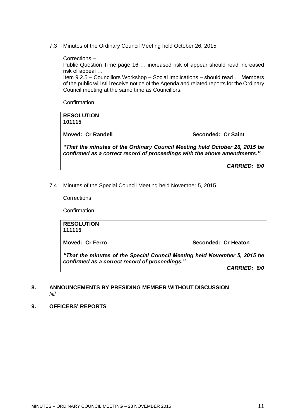<span id="page-10-0"></span>7.3 Minutes of the Ordinary Council Meeting held October 26, 2015

Corrections –

Public Question Time page 16 … increased risk of appear should read increased risk of appeal …

Item 9.2.5 – Councillors Workshop – Social Implications – should read … Members of the public will still receive notice of the Agenda and related reports for the Ordinary Council meeting at the same time as Councillors.

Confirmation

# **RESOLUTION 101115**

**Moved: Cr Randell Seconded: Cr Saint**

*"That the minutes of the Ordinary Council Meeting held October 26, 2015 be confirmed as a correct record of proceedings with the above amendments."*

*CARRIED: 6/0*

<span id="page-10-1"></span>7.4 Minutes of the Special Council Meeting held November 5, 2015

**Corrections** 

**Confirmation** 

**RESOLUTION 111115**

**Moved: Cr Ferro Seconded: Cr Heaton**

*"That the minutes of the Special Council Meeting held November 5, 2015 be confirmed as a correct record of proceedings."*

*CARRIED: 6/0*

#### <span id="page-10-2"></span>**8. ANNOUNCEMENTS BY PRESIDING MEMBER WITHOUT DISCUSSION** *Nil*

# <span id="page-10-3"></span>**9. OFFICERS' REPORTS**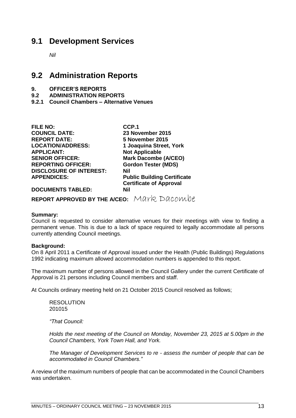# <span id="page-12-0"></span>**9.1 Development Services**

*Nil*

# <span id="page-12-1"></span>**9.2 Administration Reports**

- **9. OFFICER'S REPORTS**
- **9.2 ADMINISTRATION REPORTS**
- <span id="page-12-2"></span>**9.2.1 Council Chambers – Alternative Venues**

| <b>FILE NO:</b>                | CCP.1                              |
|--------------------------------|------------------------------------|
| <b>COUNCIL DATE:</b>           | 23 November 2015                   |
| <b>REPORT DATE:</b>            | 5 November 2015                    |
| <b>LOCATION/ADDRESS:</b>       | 1 Joaquina Street, York            |
| <b>APPLICANT:</b>              | <b>Not Applicable</b>              |
| <b>SENIOR OFFICER:</b>         | <b>Mark Dacombe (A/CEO)</b>        |
| <b>REPORTING OFFICER:</b>      | <b>Gordon Tester (MDS)</b>         |
| <b>DISCLOSURE OF INTEREST:</b> | Nil                                |
| <b>APPENDICES:</b>             | <b>Public Building Certificate</b> |
|                                | <b>Certificate of Approval</b>     |
| <b>DOCUMENTS TABLED:</b>       | Nil                                |

**REPORT APPROVED BY THE A/CEO:** Mark Dacombe

#### **Summary:**

Council is requested to consider alternative venues for their meetings with view to finding a permanent venue. This is due to a lack of space required to legally accommodate all persons currently attending Council meetings.

#### **Background:**

On 8 April 2011 a Certificate of Approval issued under the Health (Public Buildings) Regulations 1992 indicating maximum allowed accommodation numbers is appended to this report.

The maximum number of persons allowed in the Council Gallery under the current Certificate of Approval is 21 persons including Council members and staff.

At Councils ordinary meeting held on 21 October 2015 Council resolved as follows;

RESOLUTION 201015

*"That Council:*

*Holds the next meeting of the Council on Monday, November 23, 2015 at 5.00pm in the Council Chambers, York Town Hall, and York.*

*The Manager of Development Services to re - assess the number of people that can be accommodated in Council Chambers."*

A review of the maximum numbers of people that can be accommodated in the Council Chambers was undertaken.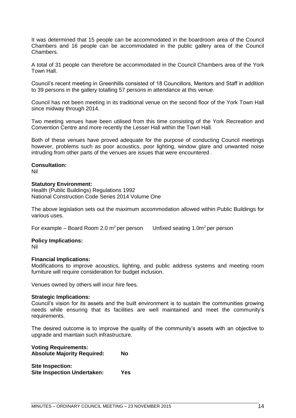It was determined that 15 people can be accommodated in the boardroom area of the Council Chambers and 16 people can be accommodated in the public gallery area of the Council Chambers.

A total of 31 people can therefore be accommodated in the Council Chambers area of the York Town Hall.

Council's recent meeting in Greenhills consisted of 18 Councillors, Mentors and Staff in addition to 39 persons in the gallery totalling 57 persons in attendance at this venue.

Council has not been meeting in its traditional venue on the second floor of the York Town Hall since midway through 2014.

Two meeting venues have been utilised from this time consisting of the York Recreation and Convention Centre and more recently the Lesser Hall within the Town Hall.

Both of these venues have proved adequate for the purpose of conducting Council meetings however, problems such as poor acoustics, poor lighting, window glare and unwanted noise intruding from other parts of the venues are issues that were encountered .

#### **Consultation:**

Nil

#### **Statutory Environment:**

Health (Public Buildings) Regulations 1992 National Construction Code Series 2014 Volume One

The above legislation sets out the maximum accommodation allowed within Public Buildings for various uses.

For example – Board Room 2.0 m<sup>2</sup> per person Unfixed seating 1.0m<sup>2</sup> per person

#### **Policy Implications:**

Nil

#### **Financial Implications:**

Modifications to improve acoustics, lighting, and public address systems and meeting room furniture will require consideration for budget inclusion.

Venues owned by others will incur hire fees.

#### **Strategic Implications:**

Council's vision for its assets and the built environment is to sustain the communities growing needs while ensuring that its facilities are well maintained and meet the community's requirements.

The desired outcome is to improve the quality of the community's assets with an objective to upgrade and maintain such infrastructure.

# **Voting Requirements: Absolute Majority Required: No**

**Site Inspection: Site Inspection Undertaken: Yes**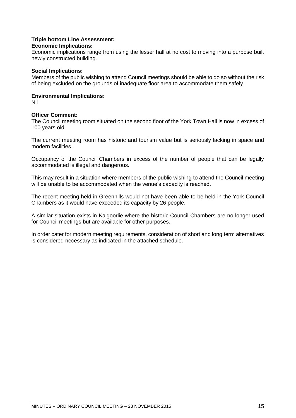# **Triple bottom Line Assessment:**

## **Economic Implications:**

Economic implications range from using the lesser hall at no cost to moving into a purpose built newly constructed building.

#### **Social Implications:**

Members of the public wishing to attend Council meetings should be able to do so without the risk of being excluded on the grounds of inadequate floor area to accommodate them safely.

#### **Environmental Implications:**

Nil

# **Officer Comment:**

The Council meeting room situated on the second floor of the York Town Hall is now in excess of 100 years old.

The current meeting room has historic and tourism value but is seriously lacking in space and modern facilities.

Occupancy of the Council Chambers in excess of the number of people that can be legally accommodated is illegal and dangerous.

This may result in a situation where members of the public wishing to attend the Council meeting will be unable to be accommodated when the venue's capacity is reached.

The recent meeting held in Greenhills would not have been able to be held in the York Council Chambers as it would have exceeded its capacity by 26 people.

A similar situation exists in Kalgoorlie where the historic Council Chambers are no longer used for Council meetings but are available for other purposes.

In order cater for modern meeting requirements, consideration of short and long term alternatives is considered necessary as indicated in the attached schedule.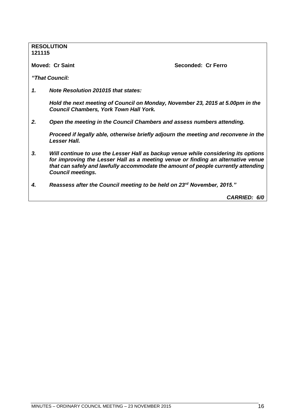| 121115 | <b>RESOLUTION</b>                                                                                                                                                                                                                                                                       |                    |
|--------|-----------------------------------------------------------------------------------------------------------------------------------------------------------------------------------------------------------------------------------------------------------------------------------------|--------------------|
|        | Moved: Cr Saint                                                                                                                                                                                                                                                                         | Seconded: Cr Ferro |
|        | "That Council:                                                                                                                                                                                                                                                                          |                    |
| 1.     | Note Resolution 201015 that states:                                                                                                                                                                                                                                                     |                    |
|        | Hold the next meeting of Council on Monday, November 23, 2015 at 5.00pm in the<br><b>Council Chambers, York Town Hall York.</b>                                                                                                                                                         |                    |
| 2.     | Open the meeting in the Council Chambers and assess numbers attending.                                                                                                                                                                                                                  |                    |
|        | Proceed if legally able, otherwise briefly adjourn the meeting and reconvene in the<br><b>Lesser Hall.</b>                                                                                                                                                                              |                    |
| 3.     | Will continue to use the Lesser Hall as backup venue while considering its options<br>for improving the Lesser Hall as a meeting venue or finding an alternative venue<br>that can safely and lawfully accommodate the amount of people currently attending<br><b>Council meetings.</b> |                    |
| 4.     | Reassess after the Council meeting to be held on 23rd November, 2015."                                                                                                                                                                                                                  |                    |
|        |                                                                                                                                                                                                                                                                                         | CARRIED: 6/0       |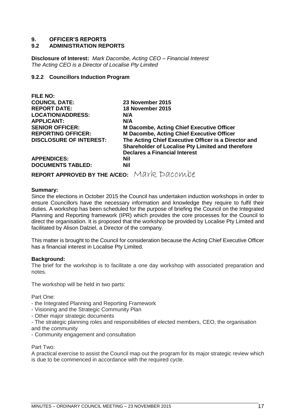# **9. OFFICER'S REPORTS**

## **9.2 ADMINISTRATION REPORTS**

**Disclosure of Interest:** *Mark Dacombe, Acting CEO – Financial Interest The Acting CEO is a Director of Localise Pty Limited*

#### <span id="page-16-0"></span>**9.2.2 Councillors Induction Program**

| FILE NO:                                   |                                                                                                                                                   |
|--------------------------------------------|---------------------------------------------------------------------------------------------------------------------------------------------------|
| <b>COUNCIL DATE:</b>                       | 23 November 2015                                                                                                                                  |
| <b>REPORT DATE:</b>                        | 18 November 2015                                                                                                                                  |
| <b>LOCATION/ADDRESS:</b>                   | N/A                                                                                                                                               |
| <b>APPLICANT:</b>                          | N/A                                                                                                                                               |
| <b>SENIOR OFFICER:</b>                     | <b>M Dacombe, Acting Chief Executive Officer</b>                                                                                                  |
| <b>REPORTING OFFICER:</b>                  | <b>M Dacombe, Acting Chief Executive Officer</b>                                                                                                  |
| <b>DISCLOSURE OF INTEREST:</b>             | The Acting Chief Executive Officer is a Director and<br>Shareholder of Localise Pty Limited and therefore<br><b>Declares a Financial Interest</b> |
| <b>APPENDICES:</b>                         | Nil                                                                                                                                               |
| <b>DOCUMENTS TABLED:</b>                   | <b>Nil</b>                                                                                                                                        |
| REPORT APPROVED BY THE AICEO: Mark Dacombe |                                                                                                                                                   |

#### **Summary:**

**FILE NO:**

Since the elections in October 2015 the Council has undertaken induction workshops in order to ensure Councillors have the necessary information and knowledge they require to fulfil their duties. A workshop has been scheduled for the purpose of briefing the Council on the Integrated Planning and Reporting framework (IPR) which provides the core processes for the Council to direct the organisation. It is proposed that the workshop be provided by Localise Pty Limited and facilitated by Alison Dalziel, a Director of the company.

This matter is brought to the Council for consideration because the Acting Chief Executive Officer has a financial interest in Localise Pty Limited.

#### **Background:**

The brief for the workshop is to facilitate a one day workshop with associated preparation and notes.

The workshop will be held in two parts:

Part One:

- the Integrated Planning and Reporting Framework
- Visioning and the Strategic Community Plan
- Other major strategic documents
- The strategic planning roles and responsibilities of elected members, CEO, the organisation and the community

- Community engagement and consultation

#### Part Two:

A practical exercise to assist the Council map out the program for its major strategic review which is due to be commenced in accordance with the required cycle.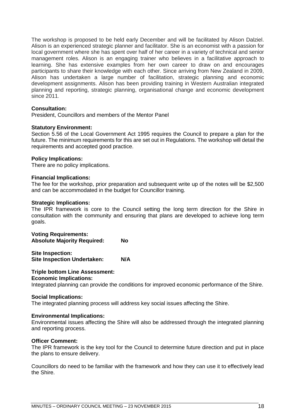The workshop is proposed to be held early December and will be facilitated by Alison Dalziel. Alison is an experienced strategic planner and facilitator. She is an economist with a passion for local government where she has spent over half of her career in a variety of technical and senior management roles. Alison is an engaging trainer who believes in a facilitative approach to learning. She has extensive examples from her own career to draw on and encourages participants to share their knowledge with each other. Since arriving from New Zealand in 2009, Alison has undertaken a large number of facilitation, strategic planning and economic development assignments. Alison has been providing training in Western Australian integrated planning and reporting, strategic planning, organisational change and economic development  $since 2011$ 

# **Consultation:**

President, Councillors and members of the Mentor Panel

#### **Statutory Environment:**

Section 5.56 of the Local Government Act 1995 requires the Council to prepare a plan for the future. The minimum requirements for this are set out in Regulations. The workshop will detail the requirements and accepted good practice.

#### **Policy Implications:**

There are no policy implications.

#### **Financial Implications:**

The fee for the workshop, prior preparation and subsequent write up of the notes will be \$2,500 and can be accommodated in the budget for Councillor training.

#### **Strategic Implications:**

The IPR framework is core to the Council setting the long term direction for the Shire in consultation with the community and ensuring that plans are developed to achieve long term goals.

**Voting Requirements: Absolute Majority Required: No**

**Site Inspection: Site Inspection Undertaken: N/A**

## **Triple bottom Line Assessment:**

#### **Economic Implications:**

Integrated planning can provide the conditions for improved economic performance of the Shire.

#### **Social Implications:**

The integrated planning process will address key social issues affecting the Shire.

#### **Environmental Implications:**

Environmental issues affecting the Shire will also be addressed through the integrated planning and reporting process.

#### **Officer Comment:**

The IPR framework is the key tool for the Council to determine future direction and put in place the plans to ensure delivery.

Councillors do need to be familiar with the framework and how they can use it to effectively lead the Shire.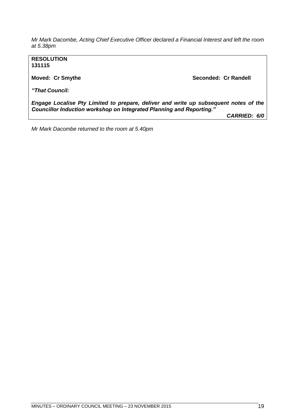*Mr Mark Dacombe, Acting Chief Executive Officer declared a Financial Interest and left the room at 5.38pm*

**RESOLUTION 131115**

**Moved: Cr Smythe Seconded: Cr Randell**

*"That Council:*

*Engage Localise Pty Limited to prepare, deliver and write up subsequent notes of the Councillor Induction workshop on Integrated Planning and Reporting."*

*CARRIED: 6/0*

*Mr Mark Dacombe returned to the room at 5.40pm*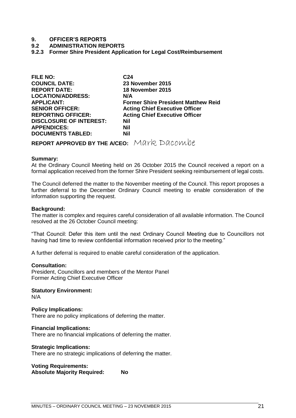## **9. OFFICER'S REPORTS**

#### **9.2 ADMINISTRATION REPORTS**

<span id="page-20-0"></span>**9.2.3 Former Shire President Application for Legal Cost/Reimbursement**

| <b>FILE NO:</b>                | C <sub>24</sub>                            |
|--------------------------------|--------------------------------------------|
| <b>COUNCIL DATE:</b>           | 23 November 2015                           |
| <b>REPORT DATE:</b>            | 18 November 2015                           |
| <b>LOCATION/ADDRESS:</b>       | N/A                                        |
| <b>APPLICANT:</b>              | <b>Former Shire President Matthew Reid</b> |
| <b>SENIOR OFFICER:</b>         | <b>Acting Chief Executive Officer</b>      |
| <b>REPORTING OFFICER:</b>      | <b>Acting Chief Executive Officer</b>      |
| <b>DISCLOSURE OF INTEREST:</b> | <b>Nil</b>                                 |
| <b>APPENDICES:</b>             | Nil                                        |
| <b>DOCUMENTS TABLED:</b>       | Nil                                        |
|                                |                                            |

**REPORT APPROVED BY THE A/CEO:** Mark Dacombe

#### **Summary:**

At the Ordinary Council Meeting held on 26 October 2015 the Council received a report on a formal application received from the former Shire President seeking reimbursement of legal costs.

The Council deferred the matter to the November meeting of the Council. This report proposes a further deferral to the December Ordinary Council meeting to enable consideration of the information supporting the request.

#### **Background:**

The matter is complex and requires careful consideration of all available information. The Council resolved at the 26 October Council meeting:

"That Council: Defer this item until the next Ordinary Council Meeting due to Councillors not having had time to review confidential information received prior to the meeting."

A further deferral is required to enable careful consideration of the application.

#### **Consultation:**

President, Councillors and members of the Mentor Panel Former Acting Chief Executive Officer

**Statutory Environment:**

N/A

#### **Policy Implications:**

There are no policy implications of deferring the matter.

#### **Financial Implications:**

There are no financial implications of deferring the matter.

#### **Strategic Implications:**

There are no strategic implications of deferring the matter.

#### **Voting Requirements: Absolute Majority Required: No**

MINUTES – ORDINARY COUNCIL MEETING – 23 NOVEMBER 2015 21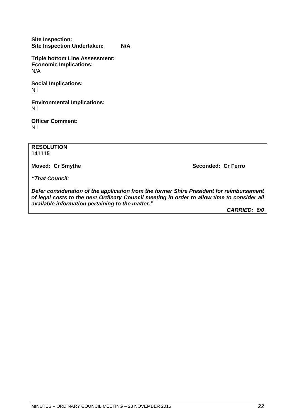**Site Inspection: Site Inspection Undertaken: N/A**

**Triple bottom Line Assessment: Economic Implications:** N/A

**Social Implications:** Nil

**Environmental Implications:** Nil

**Officer Comment:** Nil

**RESOLUTION 141115**

**Moved: Cr Smythe Seconded: Cr Ferro** 

*"That Council:*

*Defer consideration of the application from the former Shire President for reimbursement of legal costs to the next Ordinary Council meeting in order to allow time to consider all available information pertaining to the matter."*

*CARRIED: 6/0*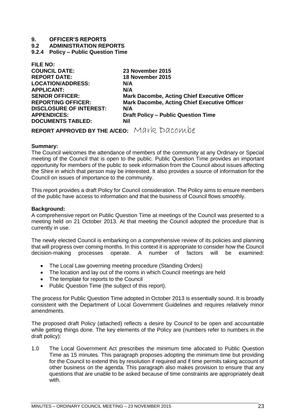# **9. OFFICER'S REPORTS**

**9.2 ADMINISTRATION REPORTS**

<span id="page-22-0"></span>**9.2.4 Policy – Public Question Time**

| 23 November 2015                                    |
|-----------------------------------------------------|
| 18 November 2015                                    |
| N/A                                                 |
| N/A                                                 |
| <b>Mark Dacombe, Acting Chief Executive Officer</b> |
| <b>Mark Dacombe, Acting Chief Executive Officer</b> |
| N/A                                                 |
| <b>Draft Policy - Public Question Time</b>          |
| <b>Nil</b>                                          |
|                                                     |

**REPORT APPROVED BY THE A/CEO:** Mark Dacombe

#### **Summary:**

The Council welcomes the attendance of members of the community at any Ordinary or Special meeting of the Council that is open to the public. Public Question Time provides an important opportunity for members of the public to seek information from the Council about issues affecting the Shire in which that person may be interested. It also provides a source of information for the Council on issues of importance to the community.

This report provides a draft Policy for Council consideration. The Policy aims to ensure members of the public have access to information and that the business of Council flows smoothly.

#### **Background:**

A comprehensive report on Public Question Time at meetings of the Council was presented to a meeting held on 21 October 2013. At that meeting the Council adopted the procedure that is currently in use.

The newly elected Council is embarking on a comprehensive review of its policies and planning that will progress over coming months. In this context it is appropriate to consider how the Council decision-making processes operate. A number of factors will be examined:

- The Local Law governing meeting procedure (Standing Orders)
- The location and lay out of the rooms in which Council meetings are held
- The template for reports to the Council
- Public Question Time (the subject of this report).

The process for Public Question Time adopted in October 2013 is essentially sound. It is broadly consistent with the Department of Local Government Guidelines and requires relatively minor amendments.

The proposed draft Policy (attached) reflects a desire by Council to be open and accountable while getting things done. The key elements of the Policy are (numbers refer to numbers in the draft policy):

1.0 The Local Government Act prescribes the minimum time allocated to Public Question Time as 15 minutes. This paragraph proposes adopting the minimum time but providing for the Council to extend this by resolution if required and if time permits taking account of other business on the agenda. This paragraph also makes provision to ensure that any questions that are unable to be asked because of time constraints are appropriately dealt with.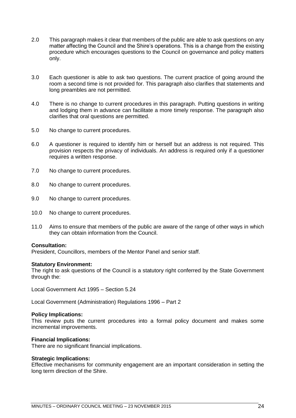- 2.0 This paragraph makes it clear that members of the public are able to ask questions on any matter affecting the Council and the Shire's operations. This is a change from the existing procedure which encourages questions to the Council on governance and policy matters only.
- 3.0 Each questioner is able to ask two questions. The current practice of going around the room a second time is not provided for. This paragraph also clarifies that statements and long preambles are not permitted.
- 4.0 There is no change to current procedures in this paragraph. Putting questions in writing and lodging them in advance can facilitate a more timely response. The paragraph also clarifies that oral questions are permitted.
- 5.0 No change to current procedures.
- 6.0 A questioner is required to identify him or herself but an address is not required. This provision respects the privacy of individuals. An address is required only if a questioner requires a written response.
- 7.0 No change to current procedures.
- 8.0 No change to current procedures.
- 9.0 No change to current procedures.
- 10.0 No change to current procedures.
- 11.0 Aims to ensure that members of the public are aware of the range of other ways in which they can obtain information from the Council.

#### **Consultation:**

President, Councillors, members of the Mentor Panel and senior staff.

#### **Statutory Environment:**

The right to ask questions of the Council is a statutory right conferred by the State Government through the:

Local Government Act 1995 – Section 5.24

Local Government (Administration) Regulations 1996 – Part 2

#### **Policy Implications:**

This review puts the current procedures into a formal policy document and makes some incremental improvements.

#### **Financial Implications:**

There are no significant financial implications.

#### **Strategic Implications:**

Effective mechanisms for community engagement are an important consideration in setting the long term direction of the Shire.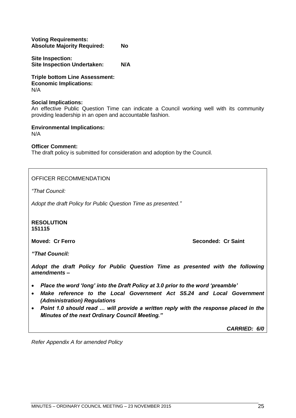| <b>Voting Requirements:</b>        |    |
|------------------------------------|----|
| <b>Absolute Majority Required:</b> | No |

**Site Inspection: Site Inspection Undertaken: N/A**

**Triple bottom Line Assessment: Economic Implications:** N/A

#### **Social Implications:**

An effective Public Question Time can indicate a Council working well with its community providing leadership in an open and accountable fashion.

**Environmental Implications:** N/A

**Officer Comment:**

The draft policy is submitted for consideration and adoption by the Council.

OFFICER RECOMMENDATION

*"That Council:*

*Adopt the draft Policy for Public Question Time as presented."*

**RESOLUTION 151115**

**Moved: Cr Ferro Seconded: Cr Saint**

*"That Council:*

*Adopt the draft Policy for Public Question Time as presented with the following amendments –*

- *Place the word 'long' into the Draft Policy at 3.0 prior to the word 'preamble'*
- *Make reference to the Local Government Act S5.24 and Local Government (Administration) Regulations*
- *Point 1.0 should read … will provide a written reply with the response placed in the Minutes of the next Ordinary Council Meeting."*

*CARRIED: 6/0*

*Refer Appendix A for amended Policy*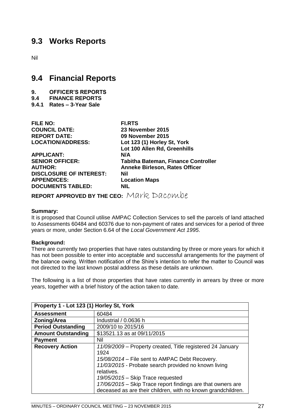# <span id="page-26-0"></span>**9.3 Works Reports**

Nil

# <span id="page-26-1"></span>**9.4 Financial Reports**

- **9. OFFICER'S REPORTS**
- **9.4 FINANCE REPORTS**
- <span id="page-26-2"></span>**9.4.1 Rates – 3-Year Sale**

**FILE NO: FI.RTS COUNCIL DATE: 23 November 2015 REPORT DATE: 09 November 2015 LOCATION/ADDRESS: Lot 123 (1) Horley St, York Lot 100 Allen Rd, Greenhills APPLICANT:** N/A<br> **SENIOR OFFICER:** Tab **Tabitha Bateman, Finance Controller AUTHOR: Anneke Birleson, Rates Officer DISCLOSURE OF INTEREST: Nil APPENDICES: Location Maps DOCUMENTS TABLED: NIL**

**REPORT APPROVED BY THE CEO:** Mark Dacombe

# **Summary:**

It is proposed that Council utilise AMPAC Collection Services to sell the parcels of land attached to Assessments 60484 and 60376 due to non-payment of rates and services for a period of three years or more, under Section 6.64 of the *Local Government Act 1995*.

# **Background:**

There are currently two properties that have rates outstanding by three or more years for which it has not been possible to enter into acceptable and successful arrangements for the payment of the balance owing. Written notification of the Shire's intention to refer the matter to Council was not directed to the last known postal address as these details are unknown.

The following is a list of those properties that have rates currently in arrears by three or more years, together with a brief history of the action taken to date.

| Property 1 - Lot 123 (1) Horley St, York |                                                              |
|------------------------------------------|--------------------------------------------------------------|
| <b>Assessment</b>                        | 60484                                                        |
| <b>Zoning/Area</b>                       | Industrial / 0.0636 h                                        |
| <b>Period Outstanding</b>                | 2009/10 to 2015/16                                           |
| <b>Amount Outstanding</b>                | \$13521.13 as at 09/11/2015                                  |
| <b>Payment</b>                           | Nil                                                          |
| <b>Recovery Action</b>                   | 11/09/2009 – Property created, Title registered 24 January   |
|                                          | 1924                                                         |
|                                          | 15/08/2014 - File sent to AMPAC Debt Recovery.               |
|                                          | 11/03/2015 - Probate search provided no known living         |
|                                          | relatives.                                                   |
|                                          | 19/05/2015 - Skip Trace requested                            |
|                                          | 17/06/2015 - Skip Trace report findings are that owners are  |
|                                          | deceased as are their children, with no known grandchildren. |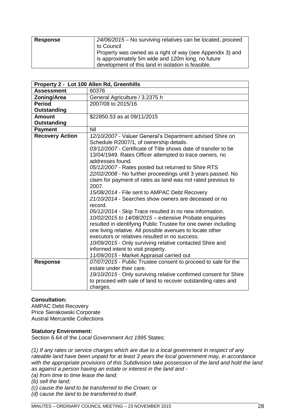| 24/06/2015 – No surviving relatives can be located, proceed |
|-------------------------------------------------------------|
| Property was owned as a right of way (see Appendix 3) and   |
| is approximately 5m wide and 120m long, no future           |
| development of this land in isolation is feasible.          |

| Property 2 - Lot 100 Allen Rd, Greenhills |                                                                                                                                                                                                                                                                                                                                                                                                                                                                                                                                                                                                                                                                                                                                                                                                                                                                                                                                                                                                                                |  |
|-------------------------------------------|--------------------------------------------------------------------------------------------------------------------------------------------------------------------------------------------------------------------------------------------------------------------------------------------------------------------------------------------------------------------------------------------------------------------------------------------------------------------------------------------------------------------------------------------------------------------------------------------------------------------------------------------------------------------------------------------------------------------------------------------------------------------------------------------------------------------------------------------------------------------------------------------------------------------------------------------------------------------------------------------------------------------------------|--|
| <b>Assessment</b>                         | 60376                                                                                                                                                                                                                                                                                                                                                                                                                                                                                                                                                                                                                                                                                                                                                                                                                                                                                                                                                                                                                          |  |
| <b>Zoning/Area</b>                        | General Agriculture / 3.2375 h                                                                                                                                                                                                                                                                                                                                                                                                                                                                                                                                                                                                                                                                                                                                                                                                                                                                                                                                                                                                 |  |
| <b>Period</b>                             | 2007/08 to 2015/16                                                                                                                                                                                                                                                                                                                                                                                                                                                                                                                                                                                                                                                                                                                                                                                                                                                                                                                                                                                                             |  |
| Outstanding                               |                                                                                                                                                                                                                                                                                                                                                                                                                                                                                                                                                                                                                                                                                                                                                                                                                                                                                                                                                                                                                                |  |
| <b>Amount</b>                             | \$22850.53 as at 09/11/2015                                                                                                                                                                                                                                                                                                                                                                                                                                                                                                                                                                                                                                                                                                                                                                                                                                                                                                                                                                                                    |  |
| Outstanding                               |                                                                                                                                                                                                                                                                                                                                                                                                                                                                                                                                                                                                                                                                                                                                                                                                                                                                                                                                                                                                                                |  |
| <b>Payment</b>                            | Nil                                                                                                                                                                                                                                                                                                                                                                                                                                                                                                                                                                                                                                                                                                                                                                                                                                                                                                                                                                                                                            |  |
| <b>Recovery Action</b>                    | 12/10/2007 - Valuer General's Department advised Shire on<br>Schedule R2007/1, of ownership details.<br>03/12/2007 - Certificate of Title shows date of transfer to be<br>13/04/1949. Rates Officer attempted to trace owners, no<br>addresses found.<br>05/12/2007 - Rates posted but returned to Shire RTS<br>22/02/2008 - No further proceedings until 3 years passed. No<br>claim for payment of rates as land was not rated previous to<br>2007.<br>15/08/2014 - File sent to AMPAC Debt Recovery<br>21/10/2014 - Searches show owners are deceased or no<br>record.<br>05/12/2014 - Skip Trace resulted in no new information.<br>10/02/2015 to 14/08/2015 - extensive Probate enquiries<br>resulted in identifying Public Trustee for one owner including<br>one living relative. All possible avenues to locate other<br>executors or relatives resulted in no success.<br>10/09/2015 - Only surviving relative contacted Shire and<br>informed intent to visit property.<br>11/09/2015 - Market Appraisal carried out |  |
| <b>Response</b>                           | 07/07/2015 - Public Trustee consent to proceed to sale for the<br>estate under their care.<br>19/10/2015 - Only surviving relative confirmed consent for Shire<br>to proceed with sale of land to recover outstanding rates and<br>charges.                                                                                                                                                                                                                                                                                                                                                                                                                                                                                                                                                                                                                                                                                                                                                                                    |  |

# **Consultation:**

AMPAC Debt Recovery Price Sierakowski Corporate Austral Mercantile Collections

# **Statutory Environment:**

Section 6.64 of the *Local Government Act 1995* States:

*(1) If any rates or service charges which are due to a local government in respect of any rateable land have been unpaid for at least 3 years the local government may, in accordance*  with the appropriate provisions of this Subdivision take possession of the land and hold the land *as against a person having an estate or interest in the land and -*

*(a) from time to time lease the land;*

*(b) sell the land;*

*(c) cause the land to be transferred to the Crown; or*

*(d) cause the land to be transferred to itself.*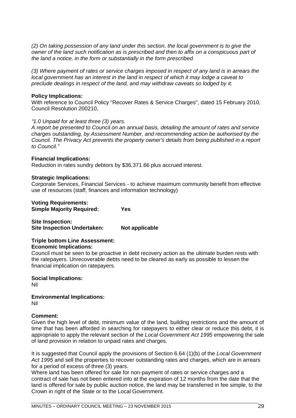*(2) On taking possession of any land under this section, the local government is to give the owner of the land such notification as is prescribed and then to affix on a conspicuous part of the land a notice, in the form or substantially in the form prescribed.*

*(3) Where payment of rates or service charges imposed in respect of any land is in arrears the local government has an interest in the land in respect of which it may lodge a caveat to preclude dealings in respect of the land, and may withdraw caveats so lodged by it.*

#### **Policy Implications:**

With reference to Council Policy "Recover Rates & Service Charges", dated 15 February 2010, Council Resolution 200210,

#### *"1.0 Unpaid for at least three (3) years.*

*A report be presented to Council on an annual basis, detailing the amount of rates and service charges outstanding, by Assessment Number, and recommending action be authorised by the Council. The Privacy Act prevents the property owner's details from being published in a report to Council."*

#### **Financial Implications:**

Reduction in rates sundry debtors by \$36,371.66 plus accrued interest.

#### **Strategic Implications:**

Corporate Services, Financial Services - to achieve maximum community benefit from effective use of resources (staff, finances and information technology)

# **Voting Requirements:**

**Simple Majority Required: Yes**

**Site Inspection: Site Inspection Undertaken: Not applicable**

#### **Triple bottom Line Assessment: Economic Implications:**

Council must be seen to be proactive in debt recovery action as the ultimate burden rests with the ratepayers. Unrecoverable debts need to be cleared as early as possible to lessen the financial implication on ratepayers.

# **Social Implications:**

Nil

# **Environmental Implications:**

Nil

# **Comment:**

Given the high level of debt, minimum value of the land, building restrictions and the amount of time that has been afforded in searching for ratepayers to either clear or reduce this debt, it is appropriate to apply the relevant section of the *Local Government Act 1995* empowering the sale of land provision in relation to unpaid rates and charges.

It is suggested that Council apply the provisions of Section 6.64 (1)(b) of the *Local Government Act 1995* and sell the properties to recover outstanding rates and charges, which are in arrears for a period of excess of three (3) years.

Where land has been offered for sale for non-payment of rates or service charges and a contract of sale has not been entered into at the expiration of 12 months from the date that the land is offered for sale by public auction notice, the land may be transferred in fee simple, to the Crown in right of the State or to the Local Government.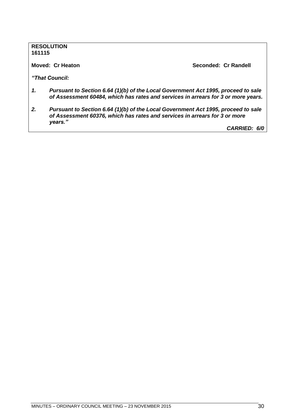# **RESOLUTION 161115**

**Moved: Cr Heaton Seconded: Cr Randell**

*"That Council:*

- *1. Pursuant to Section 6.64 (1)(b) of the Local Government Act 1995, proceed to sale of Assessment 60484, which has rates and services in arrears for 3 or more years.*
- *2. Pursuant to Section 6.64 (1)(b) of the Local Government Act 1995, proceed to sale of Assessment 60376, which has rates and services in arrears for 3 or more years."*

*CARRIED: 6/0*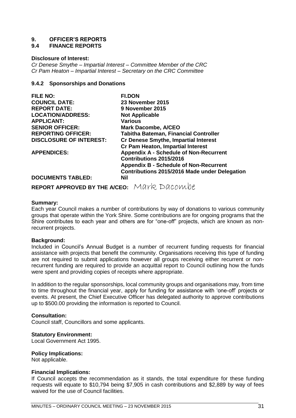# **9. OFFICER'S REPORTS**

# **9.4 FINANCE REPORTS**

#### **Disclosure of Interest:**

*Cr Denese Smythe – Impartial Interest – Committee Member of the CRC Cr Pam Heaton – Impartial Interest – Secretary on the CRC Committee*

#### <span id="page-30-0"></span>**9.4.2 Sponsorships and Donations**

| <b>FILE NO:</b>                | <b>FI.DON</b>                                        |
|--------------------------------|------------------------------------------------------|
| <b>COUNCIL DATE:</b>           | 23 November 2015                                     |
| <b>REPORT DATE:</b>            | 9 November 2015                                      |
| <b>LOCATION/ADDRESS:</b>       | <b>Not Applicable</b>                                |
| <b>APPLICANT:</b>              | <b>Various</b>                                       |
| <b>SENIOR OFFICER:</b>         | <b>Mark Dacombe, A/CEO</b>                           |
| <b>REPORTING OFFICER:</b>      | <b>Tabitha Bateman, Financial Controller</b>         |
| <b>DISCLOSURE OF INTEREST:</b> | <b>Cr Denese Smythe, Impartial Interest</b>          |
|                                | <b>Cr Pam Heaton, Impartial Interest</b>             |
| <b>APPENDICES:</b>             | <b>Appendix A - Schedule of Non-Recurrent</b>        |
|                                | Contributions 2015/2016                              |
|                                | <b>Appendix B - Schedule of Non-Recurrent</b>        |
|                                | <b>Contributions 2015/2016 Made under Delegation</b> |
| <b>DOCUMENTS TABLED:</b>       | Nil                                                  |
|                                |                                                      |

**REPORT APPROVED BY THE A/CEO:** Mark Dacombe

#### **Summary:**

Each year Council makes a number of contributions by way of donations to various community groups that operate within the York Shire. Some contributions are for ongoing programs that the Shire contributes to each year and others are for "one-off" projects, which are known as nonrecurrent projects.

# **Background:**

Included in Council's Annual Budget is a number of recurrent funding requests for financial assistance with projects that benefit the community. Organisations receiving this type of funding are not required to submit applications however all groups receiving either recurrent or nonrecurrent funding are required to provide an acquittal report to Council outlining how the funds were spent and providing copies of receipts where appropriate.

In addition to the regular sponsorships, local community groups and organisations may, from time to time throughout the financial year, apply for funding for assistance with 'one-off' projects or events. At present, the Chief Executive Officer has delegated authority to approve contributions up to \$500.00 providing the information is reported to Council.

#### **Consultation:**

Council staff, Councillors and some applicants.

#### **Statutory Environment:**

Local Government Act 1995.

#### **Policy Implications:**

Not applicable.

#### **Financial Implications:**

If Council accepts the recommendation as it stands, the total expenditure for these funding requests will equate to \$10,794 being \$7,905 in cash contributions and \$2,889 by way of fees waived for the use of Council facilities.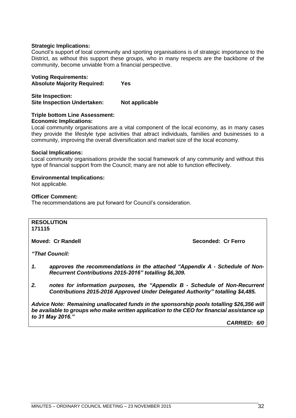# **Strategic Implications:**

Council's support of local community and sporting organisations is of strategic importance to the District, as without this support these groups, who in many respects are the backbone of the community, become unviable from a financial perspective.

#### **Voting Requirements: Absolute Majority Required: Yes**

**Site Inspection: Site Inspection Undertaken: Not applicable**

# **Triple bottom Line Assessment:**

# **Economic Implications:**

Local community organisations are a vital component of the local economy, as in many cases they provide the lifestyle type activities that attract individuals, families and businesses to a community, improving the overall diversification and market size of the local economy.

#### **Social Implications:**

Local community organisations provide the social framework of any community and without this type of financial support from the Council; many are not able to function effectively.

#### **Environmental Implications:**

Not applicable.

#### **Officer Comment:**

The recommendations are put forward for Council's consideration.

# **RESOLUTION**

**171115**

**Moved: Cr Randell Seconded: Cr Ferro**

*"That Council:*

- *1. approves the recommendations in the attached "Appendix A - Schedule of Non-Recurrent Contributions 2015-2016" totalling \$6,309.*
- *2. notes for information purposes, the "Appendix B - Schedule of Non-Recurrent Contributions 2015-2016 Approved Under Delegated Authority" totalling \$4,485.*

*Advice Note: Remaining unallocated funds in the sponsorship pools totalling \$26,356 will be available to groups who make written application to the CEO for financial assistance up to 31 May 2016."*

*CARRIED: 6/0*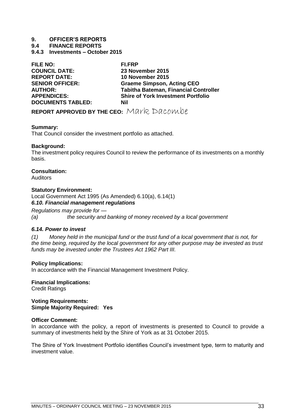# **9. OFFICER'S REPORTS**

**9.4 FINANCE REPORTS**

<span id="page-32-0"></span>**9.4.3 Investments – October 2015**

| FI.FRP                                       |
|----------------------------------------------|
| 23 November 2015                             |
| 10 November 2015                             |
| <b>Graeme Simpson, Acting CEO</b>            |
| <b>Tabitha Bateman, Financial Controller</b> |
| <b>Shire of York Investment Portfolio</b>    |
| Nil                                          |
|                                              |

**REPORT APPROVED BY THE CEO:** Mark Dacombe

#### **Summary:**

That Council consider the investment portfolio as attached.

#### **Background:**

The investment policy requires Council to review the performance of its investments on a monthly basis.

#### **Consultation:**

Auditors

#### **Statutory Environment:**

Local Government Act 1995 (As Amended) 6.10(a), 6.14(1) *6.10. Financial management regulations*

*Regulations may provide for — (a) the security and banking of money received by a local government*

# *6.14. Power to invest*

*(1) Money held in the municipal fund or the trust fund of a local government that is not, for the time being, required by the local government for any other purpose may be invested as trust funds may be invested under the Trustees Act 1962 Part III.*

# **Policy Implications:**

In accordance with the Financial Management Investment Policy.

**Financial Implications:**

Credit Ratings

**Voting Requirements: Simple Majority Required: Yes**

#### **Officer Comment:**

In accordance with the policy, a report of investments is presented to Council to provide a summary of investments held by the Shire of York as at 31 October 2015.

The Shire of York Investment Portfolio identifies Council's investment type, term to maturity and investment value.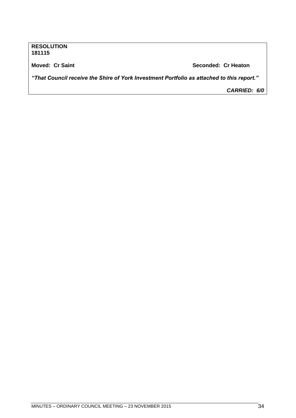**RESOLUTION 181115**

**Moved: Cr Saint Seconded: Cr Heaton** 

*"That Council receive the Shire of York Investment Portfolio as attached to this report."*

*CARRIED: 6/0*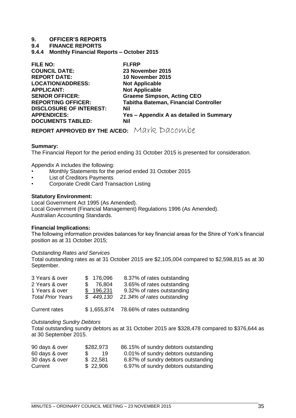## **9. OFFICER'S REPORTS**

**9.4 FINANCE REPORTS**

<span id="page-34-0"></span>**9.4.4 Monthly Financial Reports – October 2015**

| <b>FI.FRP</b>                                |
|----------------------------------------------|
| 23 November 2015                             |
| 10 November 2015                             |
| <b>Not Applicable</b>                        |
| <b>Not Applicable</b>                        |
| <b>Graeme Simpson, Acting CEO</b>            |
| <b>Tabitha Bateman, Financial Controller</b> |
| Nil                                          |
| Yes - Appendix A as detailed in Summary      |
| Nil                                          |
|                                              |

**REPORT APPROVED BY THE A/CEO:** Mark Dacombe

#### **Summary:**

The Financial Report for the period ending 31 October 2015 is presented for consideration.

Appendix A includes the following:

- Monthly Statements for the period ended 31 October 2015
- **List of Creditors Payments**
- Corporate Credit Card Transaction Listing

#### **Statutory Environment:**

Local Government Act 1995 (As Amended). Local Government (Financial Management) Regulations 1996 (As Amended). Australian Accounting Standards.

#### **Financial Implications:**

The following information provides balances for key financial areas for the Shire of York's financial position as at 31 October 2015;

#### *Outstanding Rates and Services*

Total outstanding rates as at 31 October 2015 are \$2,105,004 compared to \$2,598,815 as at 30 September.

| 3 Years & over           | \$176,096 | 8.37% of rates outstanding  |
|--------------------------|-----------|-----------------------------|
| 2 Years & over           | \$ 76,804 | 3.65% of rates outstanding  |
| 1 Years & over           | \$196,231 | 9.32% of rates outstanding  |
| <b>Total Prior Years</b> | \$449,130 | 21.34% of rates outstanding |

Current rates \$ 1,655,874 78.66% of rates outstanding

#### *Outstanding Sundry Debtors*

Total outstanding sundry debtors as at 31 October 2015 are \$328,478 compared to \$376,644 as at 30 September 2015.

| 90 days & over | \$282,973 | 86.15% of sundry debtors outstanding |
|----------------|-----------|--------------------------------------|
| 60 days & over | 19        | 0.01% of sundry debtors outstanding  |
| 30 days & over | \$22,581  | 6.87% of sundry debtors outstanding  |
| Current        | \$22,906  | 6.97% of sundry debtors outstanding  |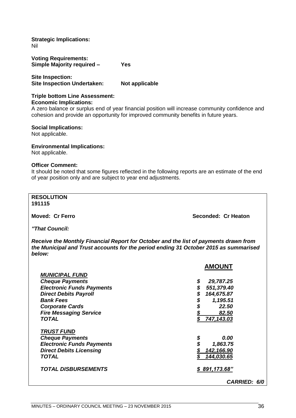**Strategic Implications:** Nil

**Voting Requirements: Simple Majority required – Yes**

**Site Inspection: Site Inspection Undertaken: Not applicable** 

#### **Triple bottom Line Assessment: Economic Implications:**

A zero balance or surplus end of year financial position will increase community confidence and cohesion and provide an opportunity for improved community benefits in future years.

## **Social Implications:**

Not applicable.

#### **Environmental Implications:**

Not applicable.

#### **Officer Comment:**

It should be noted that some figures reflected in the following reports are an estimate of the end of year position only and are subject to year end adjustments.

**RESOLUTION 191115**

**Moved: Cr Ferro Seconded: Cr Heaton**

*"That Council:*

*Receive the Monthly Financial Report for October and the list of payments drawn from the Municipal and Trust accounts for the period ending 31 October 2015 as summarised below:*

|                                  | <b>AMOUNT</b>       |
|----------------------------------|---------------------|
| <b>MUNICIPAL FUND</b>            |                     |
| <b>Cheque Payments</b>           | \$<br>29,787.25     |
| <b>Electronic Funds Payments</b> | 551,379.40          |
| <b>Direct Debits Payroll</b>     | \$<br>164,675.87    |
| <b>Bank Fees</b>                 | \$<br>1,195.51      |
| <b>Corporate Cards</b>           | 22.50               |
| <b>Fire Messaging Service</b>    | 82.50               |
| <b>TOTAL</b>                     | \$<br>747,143.03    |
| <b>TRUST FUND</b>                |                     |
| <b>Cheque Payments</b>           | \$<br>0.00          |
| <b>Electronic Funds Payments</b> | 1,863.75            |
| <b>Direct Debits Licensing</b>   | 142,166.90          |
| <b>TOTAL</b>                     | 144,030.65          |
| <b>TOTAL DISBURSEMENTS</b>       | \$891,173.68"       |
|                                  | <b>CARRIED: 6/0</b> |